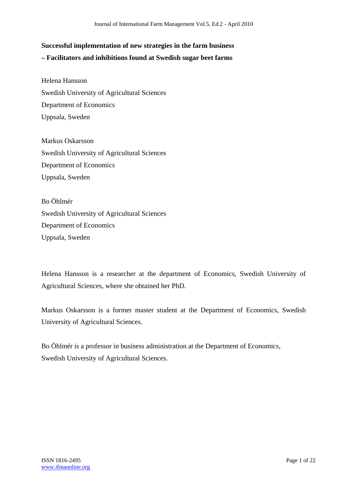# **Successful implementation of new strategies in the farm business – Facilitators and inhibitions found at Swedish sugar beet farms**

Helena Hansson Swedish University of Agricultural Sciences Department of Economics Uppsala, Sweden

Markus Oskarsson Swedish University of Agricultural Sciences Department of Economics Uppsala, Sweden

Bo Öhlmér Swedish University of Agricultural Sciences Department of Economics Uppsala, Sweden

Helena Hansson is a researcher at the department of Economics, Swedish University of Agricultural Sciences, where she obtained her PhD.

Markus Oskarsson is a former master student at the Department of Economics, Swedish University of Agricultural Sciences.

Bo Öhlmér is a professor in business administration at the Department of Economics, Swedish University of Agricultural Sciences.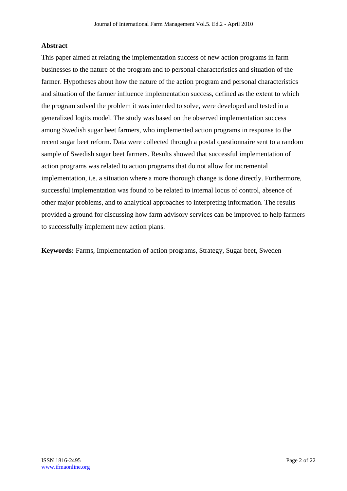## **Abstract**

This paper aimed at relating the implementation success of new action programs in farm businesses to the nature of the program and to personal characteristics and situation of the farmer. Hypotheses about how the nature of the action program and personal characteristics and situation of the farmer influence implementation success, defined as the extent to which the program solved the problem it was intended to solve, were developed and tested in a generalized logits model. The study was based on the observed implementation success among Swedish sugar beet farmers, who implemented action programs in response to the recent sugar beet reform. Data were collected through a postal questionnaire sent to a random sample of Swedish sugar beet farmers. Results showed that successful implementation of action programs was related to action programs that do not allow for incremental implementation, i.e. a situation where a more thorough change is done directly. Furthermore, successful implementation was found to be related to internal locus of control, absence of other major problems, and to analytical approaches to interpreting information. The results provided a ground for discussing how farm advisory services can be improved to help farmers to successfully implement new action plans.

**Keywords:** Farms, Implementation of action programs, Strategy, Sugar beet, Sweden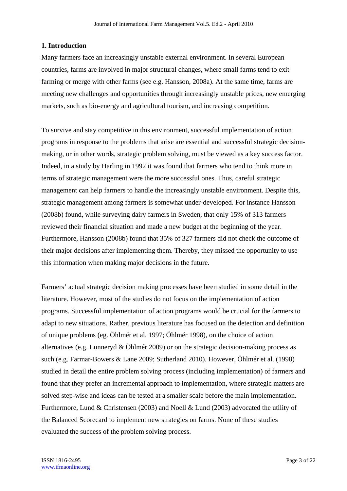### **1. Introduction**

Many farmers face an increasingly unstable external environment. In several European countries, farms are involved in major structural changes, where small farms tend to exit farming or merge with other farms (see e.g. Hansson, 2008a). At the same time, farms are meeting new challenges and opportunities through increasingly unstable prices, new emerging markets, such as bio-energy and agricultural tourism, and increasing competition.

To survive and stay competitive in this environment, successful implementation of action programs in response to the problems that arise are essential and successful strategic decisionmaking, or in other words, strategic problem solving, must be viewed as a key success factor. Indeed, in a study by Harling in 1992 it was found that farmers who tend to think more in terms of strategic management were the more successful ones. Thus, careful strategic management can help farmers to handle the increasingly unstable environment. Despite this, strategic management among farmers is somewhat under-developed. For instance Hansson (2008b) found, while surveying dairy farmers in Sweden, that only 15% of 313 farmers reviewed their financial situation and made a new budget at the beginning of the year. Furthermore, Hansson (2008b) found that 35% of 327 farmers did not check the outcome of their major decisions after implementing them. Thereby, they missed the opportunity to use this information when making major decisions in the future.

Farmers' actual strategic decision making processes have been studied in some detail in the literature. However, most of the studies do not focus on the implementation of action programs. Successful implementation of action programs would be crucial for the farmers to adapt to new situations. Rather, previous literature has focused on the detection and definition of unique problems (eg. Öhlmér et al. 1997; Öhlmér 1998), on the choice of action alternatives (e.g. Lunneryd & Öhlmér 2009) or on the strategic decision-making process as such (e.g. Farmar-Bowers & Lane 2009; Sutherland 2010). However, Öhlmér et al. (1998) studied in detail the entire problem solving process (including implementation) of farmers and found that they prefer an incremental approach to implementation, where strategic matters are solved step-wise and ideas can be tested at a smaller scale before the main implementation. Furthermore, Lund & Christensen (2003) and Noell & Lund (2003) advocated the utility of the Balanced Scorecard to implement new strategies on farms. None of these studies evaluated the success of the problem solving process.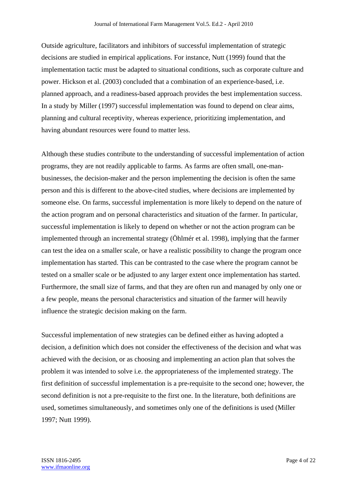Outside agriculture, facilitators and inhibitors of successful implementation of strategic decisions are studied in empirical applications. For instance, Nutt (1999) found that the implementation tactic must be adapted to situational conditions, such as corporate culture and power. Hickson et al. (2003) concluded that a combination of an experience-based, i.e. planned approach, and a readiness-based approach provides the best implementation success. In a study by Miller (1997) successful implementation was found to depend on clear aims, planning and cultural receptivity, whereas experience, prioritizing implementation, and having abundant resources were found to matter less.

Although these studies contribute to the understanding of successful implementation of action programs, they are not readily applicable to farms. As farms are often small, one-manbusinesses, the decision-maker and the person implementing the decision is often the same person and this is different to the above-cited studies, where decisions are implemented by someone else. On farms, successful implementation is more likely to depend on the nature of the action program and on personal characteristics and situation of the farmer. In particular, successful implementation is likely to depend on whether or not the action program can be implemented through an incremental strategy (Öhlmér et al. 1998), implying that the farmer can test the idea on a smaller scale, or have a realistic possibility to change the program once implementation has started. This can be contrasted to the case where the program cannot be tested on a smaller scale or be adjusted to any larger extent once implementation has started. Furthermore, the small size of farms, and that they are often run and managed by only one or a few people, means the personal characteristics and situation of the farmer will heavily influence the strategic decision making on the farm.

Successful implementation of new strategies can be defined either as having adopted a decision, a definition which does not consider the effectiveness of the decision and what was achieved with the decision, or as choosing and implementing an action plan that solves the problem it was intended to solve i.e. the appropriateness of the implemented strategy. The first definition of successful implementation is a pre-requisite to the second one; however, the second definition is not a pre-requisite to the first one. In the literature, both definitions are used, sometimes simultaneously, and sometimes only one of the definitions is used (Miller 1997; Nutt 1999).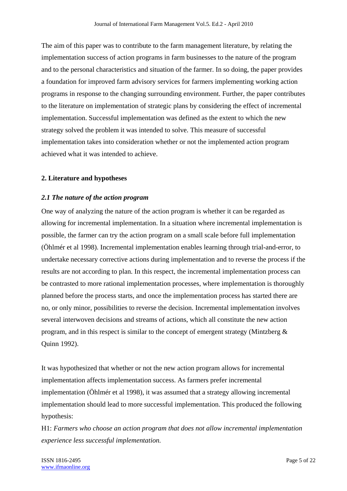The aim of this paper was to contribute to the farm management literature, by relating the implementation success of action programs in farm businesses to the nature of the program and to the personal characteristics and situation of the farmer. In so doing, the paper provides a foundation for improved farm advisory services for farmers implementing working action programs in response to the changing surrounding environment. Further, the paper contributes to the literature on implementation of strategic plans by considering the effect of incremental implementation. Successful implementation was defined as the extent to which the new strategy solved the problem it was intended to solve. This measure of successful implementation takes into consideration whether or not the implemented action program achieved what it was intended to achieve.

#### **2. Literature and hypotheses**

#### *2.1 The nature of the action program*

One way of analyzing the nature of the action program is whether it can be regarded as allowing for incremental implementation. In a situation where incremental implementation is possible, the farmer can try the action program on a small scale before full implementation (Öhlmér et al 1998). Incremental implementation enables learning through trial-and-error, to undertake necessary corrective actions during implementation and to reverse the process if the results are not according to plan. In this respect, the incremental implementation process can be contrasted to more rational implementation processes, where implementation is thoroughly planned before the process starts, and once the implementation process has started there are no, or only minor, possibilities to reverse the decision. Incremental implementation involves several interwoven decisions and streams of actions, which all constitute the new action program, and in this respect is similar to the concept of emergent strategy (Mintzberg & Quinn 1992).

It was hypothesized that whether or not the new action program allows for incremental implementation affects implementation success. As farmers prefer incremental implementation (Öhlmér et al 1998), it was assumed that a strategy allowing incremental implementation should lead to more successful implementation. This produced the following hypothesis:

H1: *Farmers who choose an action program that does not allow incremental implementation experience less successful implementation.*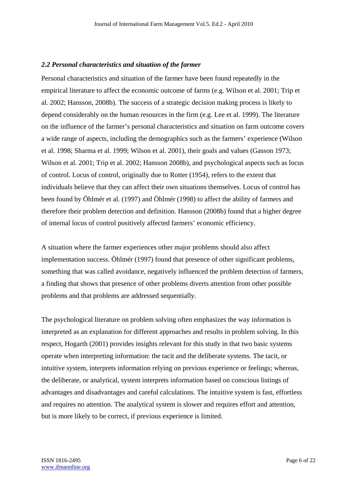#### *2.2 Personal characteristics and situation of the farmer*

Personal characteristics and situation of the farmer have been found repeatedly in the empirical literature to affect the economic outcome of farms (e.g. Wilson et al. 2001; Trip et al. 2002; Hansson, 2008b). The success of a strategic decision making process is likely to depend considerably on the human resources in the firm (e.g. Lee et al. 1999). The literature on the influence of the farmer's personal characteristics and situation on farm outcome covers a wide range of aspects, including the demographics such as the farmers' experience (Wilson et al. 1998; Sharma et al. 1999; Wilson et al. 2001), their goals and values (Gasson 1973; Wilson et al. 2001; Trip et al. 2002; Hansson 2008b), and psychological aspects such as locus of control. Locus of control, originally due to Rotter (1954), refers to the extent that individuals believe that they can affect their own situations themselves. Locus of control has been found by Öhlmér et al. (1997) and Öhlmér (1998) to affect the ability of farmers and therefore their problem detection and definition. Hansson (2008b) found that a higher degree of internal locus of control positively affected farmers' economic efficiency.

A situation where the farmer experiences other major problems should also affect implementation success. Öhlmér (1997) found that presence of other significant problems, something that was called avoidance, negatively influenced the problem detection of farmers, a finding that shows that presence of other problems diverts attention from other possible problems and that problems are addressed sequentially.

The psychological literature on problem solving often emphasizes the way information is interpreted as an explanation for different approaches and results in problem solving. In this respect, Hogarth (2001) provides insights relevant for this study in that two basic systems operate when interpreting information: the tacit and the deliberate systems. The tacit, or intuitive system, interprets information relying on previous experience or feelings; whereas, the deliberate, or analytical, system interprets information based on conscious listings of advantages and disadvantages and careful calculations. The intuitive system is fast, effortless and requires no attention. The analytical system is slower and requires effort and attention, but is more likely to be correct, if previous experience is limited.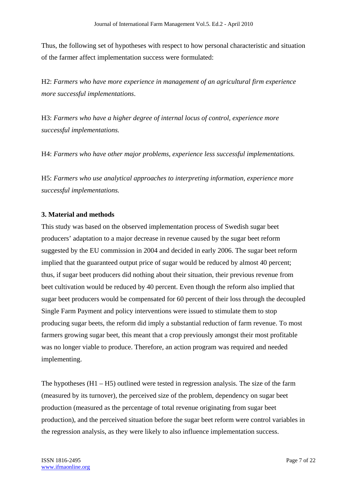Thus, the following set of hypotheses with respect to how personal characteristic and situation of the farmer affect implementation success were formulated:

H2: *Farmers who have more experience in management of an agricultural firm experience more successful implementations*.

H3: *Farmers who have a higher degree of internal locus of control, experience more successful implementations.* 

H4: *Farmers who have other major problems, experience less successful implementations.* 

H5: *Farmers who use analytical approaches to interpreting information, experience more successful implementations.* 

## **3. Material and methods**

This study was based on the observed implementation process of Swedish sugar beet producers' adaptation to a major decrease in revenue caused by the sugar beet reform suggested by the EU commission in 2004 and decided in early 2006. The sugar beet reform implied that the guaranteed output price of sugar would be reduced by almost 40 percent; thus, if sugar beet producers did nothing about their situation, their previous revenue from beet cultivation would be reduced by 40 percent. Even though the reform also implied that sugar beet producers would be compensated for 60 percent of their loss through the decoupled Single Farm Payment and policy interventions were issued to stimulate them to stop producing sugar beets, the reform did imply a substantial reduction of farm revenue. To most farmers growing sugar beet, this meant that a crop previously amongst their most profitable was no longer viable to produce. Therefore, an action program was required and needed implementing.

The hypotheses (H1 – H5) outlined were tested in regression analysis. The size of the farm (measured by its turnover), the perceived size of the problem, dependency on sugar beet production (measured as the percentage of total revenue originating from sugar beet production), and the perceived situation before the sugar beet reform were control variables in the regression analysis, as they were likely to also influence implementation success.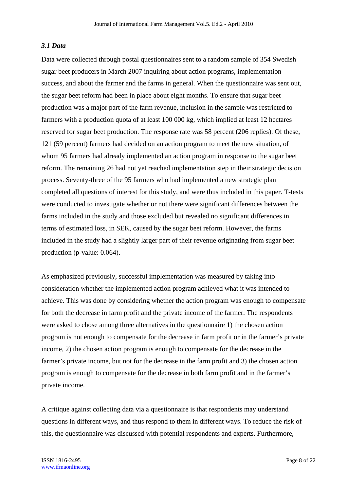# *3.1 Data*

Data were collected through postal questionnaires sent to a random sample of 354 Swedish sugar beet producers in March 2007 inquiring about action programs, implementation success, and about the farmer and the farms in general. When the questionnaire was sent out, the sugar beet reform had been in place about eight months. To ensure that sugar beet production was a major part of the farm revenue, inclusion in the sample was restricted to farmers with a production quota of at least 100 000 kg, which implied at least 12 hectares reserved for sugar beet production. The response rate was 58 percent (206 replies). Of these, 121 (59 percent) farmers had decided on an action program to meet the new situation, of whom 95 farmers had already implemented an action program in response to the sugar beet reform. The remaining 26 had not yet reached implementation step in their strategic decision process. Seventy-three of the 95 farmers who had implemented a new strategic plan completed all questions of interest for this study, and were thus included in this paper. T-tests were conducted to investigate whether or not there were significant differences between the farms included in the study and those excluded but revealed no significant differences in terms of estimated loss, in SEK, caused by the sugar beet reform. However, the farms included in the study had a slightly larger part of their revenue originating from sugar beet production (p-value: 0.064).

As emphasized previously, successful implementation was measured by taking into consideration whether the implemented action program achieved what it was intended to achieve. This was done by considering whether the action program was enough to compensate for both the decrease in farm profit and the private income of the farmer. The respondents were asked to chose among three alternatives in the questionnaire 1) the chosen action program is not enough to compensate for the decrease in farm profit or in the farmer's private income, 2) the chosen action program is enough to compensate for the decrease in the farmer's private income, but not for the decrease in the farm profit and 3) the chosen action program is enough to compensate for the decrease in both farm profit and in the farmer's private income.

A critique against collecting data via a questionnaire is that respondents may understand questions in different ways, and thus respond to them in different ways. To reduce the risk of this, the questionnaire was discussed with potential respondents and experts. Furthermore,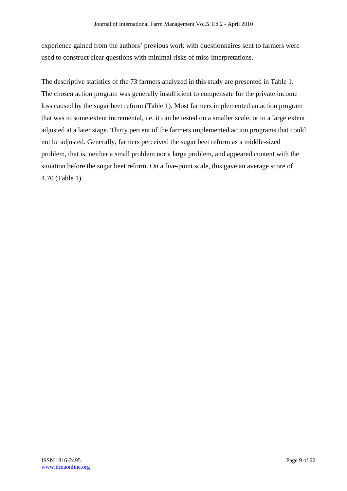experience gained from the authors' previous work with questionnaires sent to farmers were used to construct clear questions with minimal risks of miss-interpretations.

The descriptive statistics of the 73 farmers analyzed in this study are presented in Table 1. The chosen action program was generally insufficient to compensate for the private income loss caused by the sugar beet reform (Table 1). Most farmers implemented an action program that was to some extent incremental, i.e. it can be tested on a smaller scale, or to a large extent adjusted at a later stage. Thirty percent of the farmers implemented action programs that could not be adjusted. Generally, farmers perceived the sugar beet reform as a middle-sized problem, that is, neither a small problem nor a large problem, and appeared content with the situation before the sugar beet reform. On a five-point scale, this gave an average score of 4.70 (Table 1).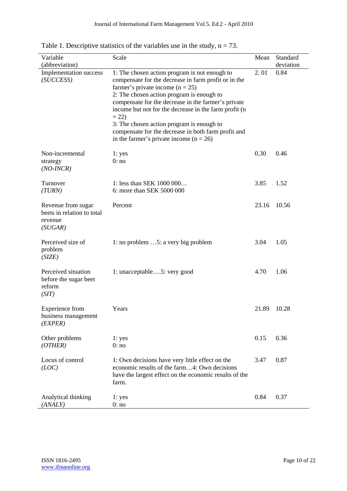| Variable<br>(abbreviation)                                             | Scale                                                                                                                                                                                                                                                                                                                                                                                                                                                                 | Mean  | Standard<br>deviation |
|------------------------------------------------------------------------|-----------------------------------------------------------------------------------------------------------------------------------------------------------------------------------------------------------------------------------------------------------------------------------------------------------------------------------------------------------------------------------------------------------------------------------------------------------------------|-------|-----------------------|
| Implementation success<br>(SUCCESS)                                    | 1: The chosen action program is not enough to<br>compensate for the decrease in farm profit or in the<br>farmer's private income ( $n = 25$ )<br>2: The chosen action program is enough to<br>compensate for the decrease in the farmer's private<br>income but not for the decrease in the farm profit (n<br>$= 22$<br>3: The chosen action program is enough to<br>compensate for the decrease in both farm profit and<br>in the farmer's private income $(n = 26)$ | 2.01  | 0.84                  |
| Non-incremental<br>strategy<br>$(NO$ -INCR $)$                         | 1: yes<br>0:no                                                                                                                                                                                                                                                                                                                                                                                                                                                        | 0.30  | 0.46                  |
| Turnover<br>(TURN)                                                     | 1: less than SEK 1000 000<br>6: more than SEK 5000 000                                                                                                                                                                                                                                                                                                                                                                                                                | 3.85  | 1.52                  |
| Revenue from sugar<br>beets in relation to total<br>revenue<br>(SUGAR) | Percent                                                                                                                                                                                                                                                                                                                                                                                                                                                               | 23.16 | 10.56                 |
| Perceived size of<br>problem<br>(SIZE)                                 | 1: no problem $\dots$ 5: a very big problem                                                                                                                                                                                                                                                                                                                                                                                                                           | 3.04  | 1.05                  |
| Perceived situation<br>before the sugar beet<br>reform<br>(SIT)        | 1: unacceptable5: very good                                                                                                                                                                                                                                                                                                                                                                                                                                           | 4.70  | 1.06                  |
| <b>Experience</b> from<br>business management<br>(EXPER)               | Years                                                                                                                                                                                                                                                                                                                                                                                                                                                                 | 21.89 | 10.28                 |
| Other problems<br>(OTHER)                                              | 1: yes<br>0:no                                                                                                                                                                                                                                                                                                                                                                                                                                                        | 0.15  | 0.36                  |
| Locus of control<br>(LOC)                                              | 1: Own decisions have very little effect on the<br>economic results of the farm4: Own decisions<br>have the largest effect on the economic results of the<br>farm.                                                                                                                                                                                                                                                                                                    | 3.47  | 0.87                  |
| Analytical thinking<br>(ANALY)                                         | 1: yes<br>0:no                                                                                                                                                                                                                                                                                                                                                                                                                                                        | 0.84  | 0.37                  |

Table 1. Descriptive statistics of the variables use in the study,  $n = 73$ .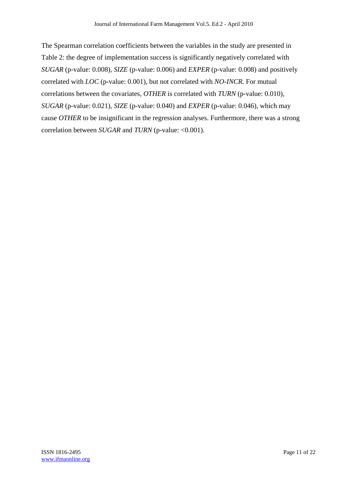The Spearman correlation coefficients between the variables in the study are presented in Table 2: the degree of implementation success is significantly negatively correlated with *SUGAR* (p-value: 0.008)*, SIZE* (p-value: 0.006) and *EXPER* (p-value: 0.008) and positively correlated with *LOC* (p-value: 0.001), but not correlated with *NO-INCR.* For mutual correlations between the covariates, *OTHER* is correlated with *TURN* (p-value: 0.010)*, SUGAR* (p-value: 0.021)*, SIZE* (p-value: 0.040) and *EXPER* (p-value: 0.046), which may cause *OTHER* to be insignificant in the regression analyses. Furthermore, there was a strong correlation between *SUGAR* and *TURN* (p-value: <0.001)*.*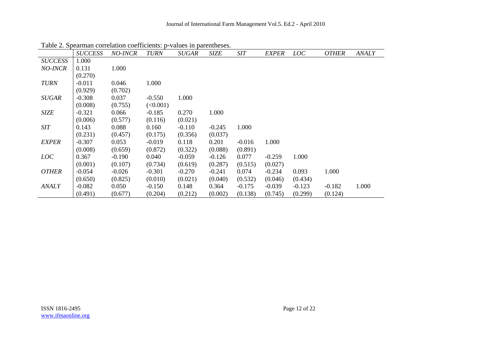| $\cdots$       | <b>SUCCESS</b> | <b>NO-INCR</b> | <b>TURN</b> | <i>SUGAR</i> | <b>SIZE</b> | SIT      | <b>EXPER</b> | LOC      | <b>OTHER</b> | ANALY |
|----------------|----------------|----------------|-------------|--------------|-------------|----------|--------------|----------|--------------|-------|
| <b>SUCCESS</b> | 1.000          |                |             |              |             |          |              |          |              |       |
| NO-INCR        | 0.131          | 1.000          |             |              |             |          |              |          |              |       |
|                | (0.270)        |                |             |              |             |          |              |          |              |       |
| <b>TURN</b>    | $-0.011$       | 0.046          | 1.000       |              |             |          |              |          |              |       |
|                | (0.929)        | (0.702)        |             |              |             |          |              |          |              |       |
| <b>SUGAR</b>   | $-0.308$       | 0.037          | $-0.550$    | 1.000        |             |          |              |          |              |       |
|                | (0.008)        | (0.755)        | (<0.001)    |              |             |          |              |          |              |       |
| SIZE           | $-0.321$       | 0.066          | $-0.185$    | 0.270        | 1.000       |          |              |          |              |       |
|                | (0.006)        | (0.577)        | (0.116)     | (0.021)      |             |          |              |          |              |       |
| <b>SIT</b>     | 0.143          | 0.088          | 0.160       | $-0.110$     | $-0.245$    | 1.000    |              |          |              |       |
|                | (0.231)        | (0.457)        | (0.175)     | (0.356)      | (0.037)     |          |              |          |              |       |
| <b>EXPER</b>   | $-0.307$       | 0.053          | $-0.019$    | 0.118        | 0.201       | $-0.016$ | 1.000        |          |              |       |
|                | (0.008)        | (0.659)        | (0.872)     | (0.322)      | (0.088)     | (0.891)  |              |          |              |       |
| LOC            | 0.367          | $-0.190$       | 0.040       | $-0.059$     | $-0.126$    | 0.077    | $-0.259$     | 1.000    |              |       |
|                | (0.001)        | (0.107)        | (0.734)     | (0.619)      | (0.287)     | (0.515)  | (0.027)      |          |              |       |
| <b>OTHER</b>   | $-0.054$       | $-0.026$       | $-0.301$    | $-0.270$     | $-0.241$    | 0.074    | $-0.234$     | 0.093    | 1.000        |       |
|                | (0.650)        | (0.825)        | (0.010)     | (0.021)      | (0.040)     | (0.532)  | (0.046)      | (0.434)  |              |       |
| <b>ANALY</b>   | $-0.082$       | 0.050          | $-0.150$    | 0.148        | 0.364       | $-0.175$ | $-0.039$     | $-0.123$ | $-0.182$     | 1.000 |
|                | (0.491)        | (0.677)        | (0.204)     | (0.212)      | (0.002)     | (0.138)  | (0.745)      | (0.299)  | (0.124)      |       |

Table 2. Spearman correlation coefficients: p-values in parentheses.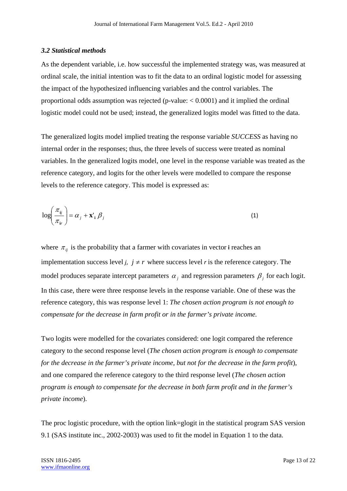#### *3.2 Statistical methods*

As the dependent variable, i.e. how successful the implemented strategy was, was measured at ordinal scale, the initial intention was to fit the data to an ordinal logistic model for assessing the impact of the hypothesized influencing variables and the control variables. The proportional odds assumption was rejected (p-value:  $< 0.0001$ ) and it implied the ordinal logistic model could not be used; instead, the generalized logits model was fitted to the data.

The generalized logits model implied treating the response variable *SUCCESS* as having no internal order in the responses; thus, the three levels of success were treated as nominal variables. In the generalized logits model, one level in the response variable was treated as the reference category, and logits for the other levels were modelled to compare the response levels to the reference category. This model is expressed as:

$$
\log\left(\frac{\pi_{ij}}{\pi_{ir}}\right) = \alpha_j + \mathbf{x'}_i \beta_j \tag{1}
$$

where  $\pi_{ij}$  is the probability that a farmer with covariates in vector **i** reaches an implementation success level *j*,  $j \neq r$  where success level *r* is the reference category. The model produces separate intercept parameters  $\alpha_i$  and regression parameters  $\beta_i$  for each logit. In this case, there were three response levels in the response variable. One of these was the reference category, this was response level 1: *The chosen action program is not enough to compensate for the decrease in farm profit or in the farmer's private income.* 

Two logits were modelled for the covariates considered: one logit compared the reference category to the second response level (*The chosen action program is enough to compensate for the decrease in the farmer's private income, but not for the decrease in the farm profit*), and one compared the reference category to the third response level (*The chosen action program is enough to compensate for the decrease in both farm profit and in the farmer's private income*).

The proc logistic procedure, with the option link=glogit in the statistical program SAS version 9.1 (SAS institute inc., 2002-2003) was used to fit the model in Equation 1 to the data.

ISSN 1816-2495 Page 13 of 22 www.ifmaonline.org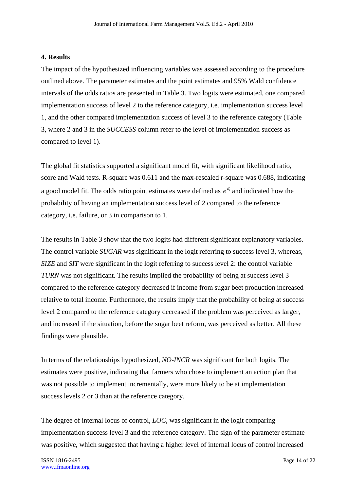# **4. Results**

The impact of the hypothesized influencing variables was assessed according to the procedure outlined above. The parameter estimates and the point estimates and 95% Wald confidence intervals of the odds ratios are presented in Table 3. Two logits were estimated, one compared implementation success of level 2 to the reference category, i.e. implementation success level 1, and the other compared implementation success of level 3 to the reference category (Table 3, where 2 and 3 in the *SUCCESS* column refer to the level of implementation success as compared to level 1).

The global fit statistics supported a significant model fit, with significant likelihood ratio, score and Wald tests. R-square was 0.611 and the max-rescaled r-square was 0.688, indicating a good model fit. The odds ratio point estimates were defined as  $e^{\beta_i}$  and indicated how the probability of having an implementation success level of 2 compared to the reference category, i.e. failure, or 3 in comparison to 1.

The results in Table 3 show that the two logits had different significant explanatory variables. The control variable *SUGAR* was significant in the logit referring to success level 3, whereas, *SIZE* and *SIT* were significant in the logit referring to success level 2: the control variable *TURN* was not significant. The results implied the probability of being at success level 3 compared to the reference category decreased if income from sugar beet production increased relative to total income. Furthermore, the results imply that the probability of being at success level 2 compared to the reference category decreased if the problem was perceived as larger, and increased if the situation, before the sugar beet reform, was perceived as better. All these findings were plausible.

In terms of the relationships hypothesized, *NO-INCR* was significant for both logits. The estimates were positive, indicating that farmers who chose to implement an action plan that was not possible to implement incrementally, were more likely to be at implementation success levels 2 or 3 than at the reference category.

The degree of internal locus of control, *LOC*, was significant in the logit comparing implementation success level 3 and the reference category. The sign of the parameter estimate was positive, which suggested that having a higher level of internal locus of control increased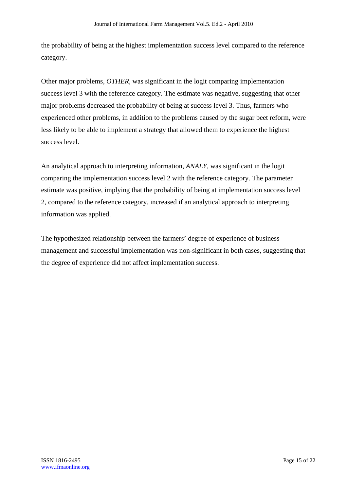the probability of being at the highest implementation success level compared to the reference category.

Other major problems, *OTHER,* was significant in the logit comparing implementation success level 3 with the reference category. The estimate was negative, suggesting that other major problems decreased the probability of being at success level 3. Thus, farmers who experienced other problems, in addition to the problems caused by the sugar beet reform, were less likely to be able to implement a strategy that allowed them to experience the highest success level.

An analytical approach to interpreting information, *ANALY,* was significant in the logit comparing the implementation success level 2 with the reference category. The parameter estimate was positive, implying that the probability of being at implementation success level 2, compared to the reference category, increased if an analytical approach to interpreting information was applied.

The hypothesized relationship between the farmers' degree of experience of business management and successful implementation was non-significant in both cases, suggesting that the degree of experience did not affect implementation success.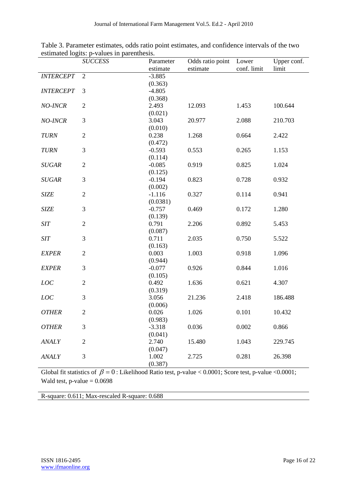|                  | <b>SUCCESS</b> | Parameter | Odds ratio point | Lower       | Upper conf. |
|------------------|----------------|-----------|------------------|-------------|-------------|
|                  |                | estimate  | estimate         | conf. limit | limit       |
| <b>INTERCEPT</b> | $\overline{2}$ | $-3.885$  |                  |             |             |
|                  |                | (0.363)   |                  |             |             |
| <b>INTERCEPT</b> | 3              | $-4.805$  |                  |             |             |
|                  |                | (0.368)   |                  |             |             |
| NO-INCR          | $\mathfrak{2}$ | 2.493     | 12.093           | 1.453       | 100.644     |
|                  |                | (0.021)   |                  |             |             |
| NO-INCR          | $\mathfrak{Z}$ | 3.043     | 20.977           | 2.088       | 210.703     |
|                  |                | (0.010)   |                  |             |             |
| <b>TURN</b>      | $\overline{2}$ | 0.238     | 1.268            | 0.664       | 2.422       |
|                  |                | (0.472)   |                  |             |             |
| <b>TURN</b>      | 3              | $-0.593$  | 0.553            | 0.265       | 1.153       |
|                  |                | (0.114)   |                  |             |             |
| <b>SUGAR</b>     | $\overline{2}$ | $-0.085$  | 0.919            | 0.825       | 1.024       |
|                  |                | (0.125)   |                  |             |             |
| <b>SUGAR</b>     | $\mathfrak{Z}$ | $-0.194$  | 0.823            | 0.728       | 0.932       |
|                  |                | (0.002)   |                  |             |             |
| <b>SIZE</b>      | $\overline{2}$ | $-1.116$  | 0.327            | 0.114       | 0.941       |
|                  |                | (0.0381)  |                  |             |             |
| <b>SIZE</b>      | $\mathfrak{Z}$ | $-0.757$  | 0.469            | 0.172       | 1.280       |
|                  |                | (0.139)   |                  |             |             |
| <b>SIT</b>       | $\sqrt{2}$     | 0.791     | 2.206            | 0.892       | 5.453       |
|                  |                | (0.087)   |                  |             |             |
| <b>SIT</b>       | $\mathfrak{Z}$ | 0.711     | 2.035            | 0.750       | 5.522       |
|                  |                | (0.163)   |                  |             |             |
| <b>EXPER</b>     | $\overline{2}$ | 0.003     | 1.003            | 0.918       | 1.096       |
|                  |                | (0.944)   |                  |             |             |
| <b>EXPER</b>     | 3              | $-0.077$  | 0.926            | 0.844       | 1.016       |
|                  |                | (0.105)   |                  |             |             |
| LOC              | $\overline{2}$ | 0.492     | 1.636            | 0.621       | 4.307       |
|                  |                | (0.319)   |                  |             |             |
| LOC              | 3              | 3.056     | 21.236           | 2.418       | 186.488     |
|                  |                | (0.006)   |                  |             |             |
| <b>OTHER</b>     | $\sqrt{2}$     | 0.026     | 1.026            | 0.101       | 10.432      |
|                  |                | (0.983)   |                  |             |             |
| <b>OTHER</b>     | 3              | $-3.318$  | 0.036            | 0.002       | 0.866       |
|                  |                | (0.041)   |                  |             |             |
| <b>ANALY</b>     | $\overline{2}$ | 2.740     | 15.480           | 1.043       | 229.745     |
|                  |                | (0.047)   |                  |             |             |
| <b>ANALY</b>     | $\mathfrak{Z}$ | 1.002     | 2.725            | 0.281       | 26.398      |
|                  |                | (0.387)   |                  |             |             |

Table 3. Parameter estimates, odds ratio point estimates, and confidence intervals of the two estimated logits: p-values in parenthesis.

Global fit statistics of  $\beta = 0$ : Likelihood Ratio test, p-value < 0.0001; Score test, p-value < 0.0001; Wald test, p-value  $= 0.0698$ 

R-square: 0.611; Max-rescaled R-square: 0.688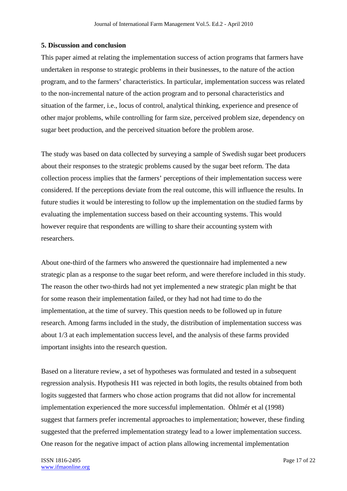## **5. Discussion and conclusion**

This paper aimed at relating the implementation success of action programs that farmers have undertaken in response to strategic problems in their businesses, to the nature of the action program, and to the farmers' characteristics. In particular, implementation success was related to the non-incremental nature of the action program and to personal characteristics and situation of the farmer, i.e., locus of control, analytical thinking, experience and presence of other major problems, while controlling for farm size, perceived problem size, dependency on sugar beet production, and the perceived situation before the problem arose.

The study was based on data collected by surveying a sample of Swedish sugar beet producers about their responses to the strategic problems caused by the sugar beet reform. The data collection process implies that the farmers' perceptions of their implementation success were considered. If the perceptions deviate from the real outcome, this will influence the results. In future studies it would be interesting to follow up the implementation on the studied farms by evaluating the implementation success based on their accounting systems. This would however require that respondents are willing to share their accounting system with researchers.

About one-third of the farmers who answered the questionnaire had implemented a new strategic plan as a response to the sugar beet reform, and were therefore included in this study. The reason the other two-thirds had not yet implemented a new strategic plan might be that for some reason their implementation failed, or they had not had time to do the implementation, at the time of survey. This question needs to be followed up in future research. Among farms included in the study, the distribution of implementation success was about 1/3 at each implementation success level, and the analysis of these farms provided important insights into the research question.

Based on a literature review, a set of hypotheses was formulated and tested in a subsequent regression analysis. Hypothesis H1 was rejected in both logits, the results obtained from both logits suggested that farmers who chose action programs that did not allow for incremental implementation experienced the more successful implementation. Öhlmér et al (1998) suggest that farmers prefer incremental approaches to implementation; however, these finding suggested that the preferred implementation strategy lead to a lower implementation success. One reason for the negative impact of action plans allowing incremental implementation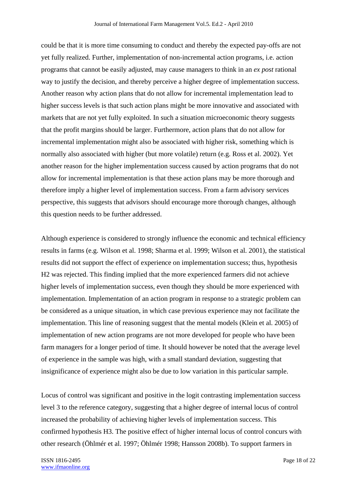could be that it is more time consuming to conduct and thereby the expected pay-offs are not yet fully realized. Further, implementation of non-incremental action programs, i.e. action programs that cannot be easily adjusted, may cause managers to think in an *ex post* rational way to justify the decision, and thereby perceive a higher degree of implementation success. Another reason why action plans that do not allow for incremental implementation lead to higher success levels is that such action plans might be more innovative and associated with markets that are not yet fully exploited. In such a situation microeconomic theory suggests that the profit margins should be larger. Furthermore, action plans that do not allow for incremental implementation might also be associated with higher risk, something which is normally also associated with higher (but more volatile) return (e.g. Ross et al. 2002). Yet another reason for the higher implementation success caused by action programs that do not allow for incremental implementation is that these action plans may be more thorough and therefore imply a higher level of implementation success. From a farm advisory services perspective, this suggests that advisors should encourage more thorough changes, although this question needs to be further addressed.

Although experience is considered to strongly influence the economic and technical efficiency results in farms (e.g. Wilson et al. 1998; Sharma et al. 1999; Wilson et al. 2001), the statistical results did not support the effect of experience on implementation success; thus, hypothesis H2 was rejected. This finding implied that the more experienced farmers did not achieve higher levels of implementation success, even though they should be more experienced with implementation. Implementation of an action program in response to a strategic problem can be considered as a unique situation, in which case previous experience may not facilitate the implementation. This line of reasoning suggest that the mental models (Klein et al. 2005) of implementation of new action programs are not more developed for people who have been farm managers for a longer period of time. It should however be noted that the average level of experience in the sample was high, with a small standard deviation, suggesting that insignificance of experience might also be due to low variation in this particular sample.

Locus of control was significant and positive in the logit contrasting implementation success level 3 to the reference category, suggesting that a higher degree of internal locus of control increased the probability of achieving higher levels of implementation success. This confirmed hypothesis H3. The positive effect of higher internal locus of control concurs with other research (Öhlmér et al. 1997; Öhlmér 1998; Hansson 2008b). To support farmers in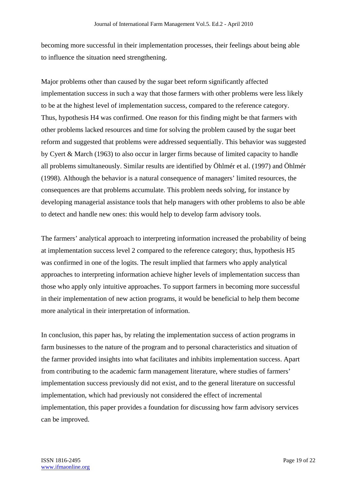becoming more successful in their implementation processes, their feelings about being able to influence the situation need strengthening.

Major problems other than caused by the sugar beet reform significantly affected implementation success in such a way that those farmers with other problems were less likely to be at the highest level of implementation success, compared to the reference category. Thus, hypothesis H4 was confirmed. One reason for this finding might be that farmers with other problems lacked resources and time for solving the problem caused by the sugar beet reform and suggested that problems were addressed sequentially. This behavior was suggested by Cyert & March (1963) to also occur in larger firms because of limited capacity to handle all problems simultaneously. Similar results are identified by Öhlmér et al. (1997) and Öhlmér (1998). Although the behavior is a natural consequence of managers' limited resources, the consequences are that problems accumulate. This problem needs solving, for instance by developing managerial assistance tools that help managers with other problems to also be able to detect and handle new ones: this would help to develop farm advisory tools.

The farmers' analytical approach to interpreting information increased the probability of being at implementation success level 2 compared to the reference category; thus, hypothesis H5 was confirmed in one of the logits. The result implied that farmers who apply analytical approaches to interpreting information achieve higher levels of implementation success than those who apply only intuitive approaches. To support farmers in becoming more successful in their implementation of new action programs, it would be beneficial to help them become more analytical in their interpretation of information.

In conclusion, this paper has, by relating the implementation success of action programs in farm businesses to the nature of the program and to personal characteristics and situation of the farmer provided insights into what facilitates and inhibits implementation success. Apart from contributing to the academic farm management literature, where studies of farmers' implementation success previously did not exist, and to the general literature on successful implementation, which had previously not considered the effect of incremental implementation, this paper provides a foundation for discussing how farm advisory services can be improved.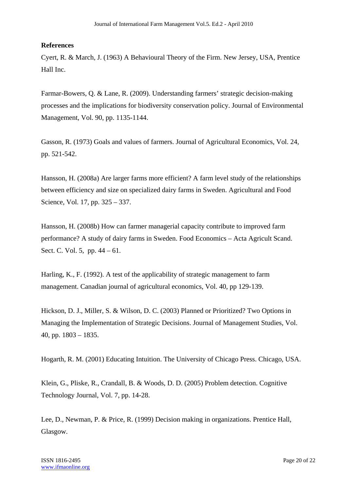# **References**

Cyert, R. & March, J. (1963) A Behavioural Theory of the Firm. New Jersey, USA, Prentice Hall Inc.

Farmar-Bowers, Q. & Lane, R. (2009). Understanding farmers' strategic decision-making processes and the implications for biodiversity conservation policy. Journal of Environmental Management, Vol. 90, pp. 1135-1144.

Gasson, R. (1973) Goals and values of farmers. Journal of Agricultural Economics, Vol. 24, pp. 521-542.

Hansson, H. (2008a) Are larger farms more efficient? A farm level study of the relationships between efficiency and size on specialized dairy farms in Sweden. Agricultural and Food Science, Vol. 17, pp. 325 – 337.

Hansson, H. (2008b) How can farmer managerial capacity contribute to improved farm performance? A study of dairy farms in Sweden. Food Economics – Acta Agricult Scand. Sect. C. Vol. 5, pp. 44 – 61.

Harling, K., F. (1992). A test of the applicability of strategic management to farm management. Canadian journal of agricultural economics, Vol. 40, pp 129-139.

Hickson, D. J., Miller, S. & Wilson, D. C. (2003) Planned or Prioritized? Two Options in Managing the Implementation of Strategic Decisions. Journal of Management Studies, Vol. 40, pp. 1803 – 1835.

Hogarth, R. M. (2001) Educating Intuition. The University of Chicago Press. Chicago, USA.

Klein, G., Pliske, R., Crandall, B. & Woods, D. D. (2005) Problem detection. Cognitive Technology Journal, Vol. 7, pp. 14-28.

Lee, D., Newman, P. & Price, R. (1999) Decision making in organizations. Prentice Hall, Glasgow.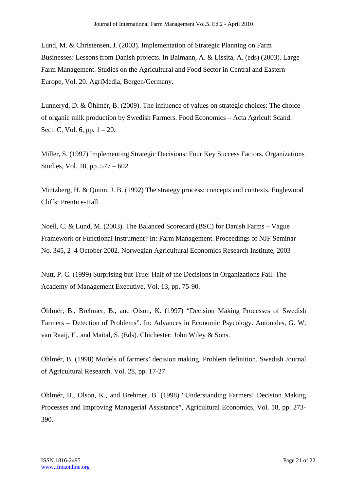Lund, M. & Christensen, J. (2003). Implementation of Strategic Planning on Farm Businesses: Lessons from Danish projects. In Balmann, A. & Lissita, A. (eds) (2003). Large Farm Management. Studies on the Agricultural and Food Sector in Central and Eastern Europe, Vol. 20. AgriMedia, Bergen/Germany.

Lunneryd, D. & Öhlmér, B. (2009). The influence of values on strategic choices: The choice of organic milk production by Swedish Farmers. Food Economics – Acta Agricult Scand. Sect. C, Vol. 6, pp. 1 – 20.

Miller, S. (1997) Implementing Strategic Decisions: Four Key Success Factors. Organizations Studies, Vol. 18, pp. 577 – 602.

Mintzberg, H. & Quinn, J. B. (1992) The strategy process: concepts and contexts. Englewood Cliffs: Prentice-Hall.

Noell, C. & Lund, M. (2003). The Balanced Scorecard (BSC) for Danish Farms – Vague Framework or Functional Instrument? In: Farm Management. Proceedings of NJF Seminar No. 345, 2–4 October 2002. Norwegian Agricultural Economics Research Institute, 2003

Nutt, P. C. (1999) Surprising but True: Half of the Decisions in Organizations Fail. The Academy of Management Executive, Vol. 13, pp. 75-90.

Öhlmér, B., Brehmer, B., and Olson, K. (1997) "Decision Making Processes of Swedish Farmers – Detection of Problems". In: Advances in Economic Psycology. Antonides, G. W, van Raaij, F., and Maital, S. (Eds). Chichester: John Wiley & Sons.

Öhlmér, B. (1998) Models of farmers' decision making. Problem definition. Swedish Journal of Agricultural Research. Vol. 28, pp. 17-27.

Öhlmér, B., Olson, K., and Brehmer, B. (1998) "Understanding Farmers' Decision Making Processes and Improving Managerial Assistance", Agricultural Economics, Vol. 18, pp. 273- 390.